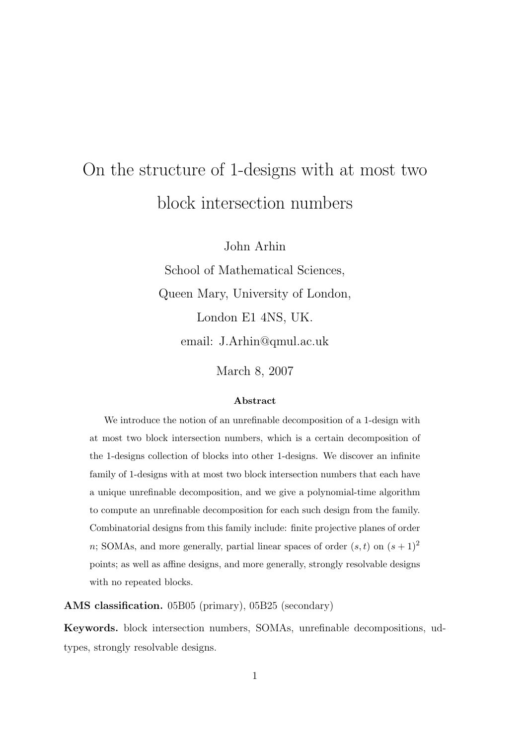# On the structure of 1-designs with at most two block intersection numbers

John Arhin

School of Mathematical Sciences, Queen Mary, University of London, London E1 4NS, UK. email: J.Arhin@qmul.ac.uk

March 8, 2007

#### Abstract

We introduce the notion of an unrefinable decomposition of a 1-design with at most two block intersection numbers, which is a certain decomposition of the 1-designs collection of blocks into other 1-designs. We discover an infinite family of 1-designs with at most two block intersection numbers that each have a unique unrefinable decomposition, and we give a polynomial-time algorithm to compute an unrefinable decomposition for each such design from the family. Combinatorial designs from this family include: finite projective planes of order n; SOMAs, and more generally, partial linear spaces of order  $(s, t)$  on  $(s + 1)^2$ points; as well as affine designs, and more generally, strongly resolvable designs with no repeated blocks.

AMS classification. 05B05 (primary), 05B25 (secondary)

Keywords. block intersection numbers, SOMAs, unrefinable decompositions, udtypes, strongly resolvable designs.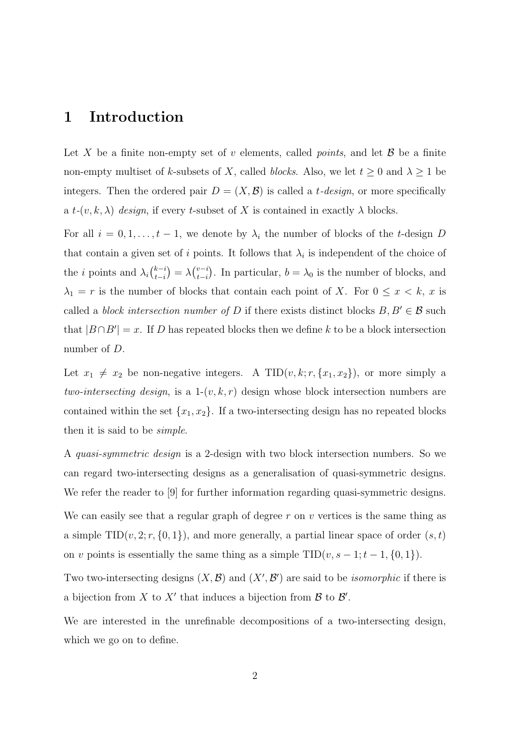### 1 Introduction

Let X be a finite non-empty set of v elements, called *points*, and let  $\mathcal{B}$  be a finite non-empty multiset of k-subsets of X, called blocks. Also, we let  $t \geq 0$  and  $\lambda \geq 1$  be integers. Then the ordered pair  $D = (X, \mathcal{B})$  is called a *t*-design, or more specifically a  $t-(v, k, \lambda)$  design, if every t-subset of X is contained in exactly  $\lambda$  blocks.

For all  $i = 0, 1, \ldots, t - 1$ , we denote by  $\lambda_i$  the number of blocks of the t-design D that contain a given set of i points. It follows that  $\lambda_i$  is independent of the choice of the *i* points and  $\lambda_i \binom{k-i}{t-i}$  $\lambda_{t-i}^{(v-i)} = \lambda \binom{v-i}{t-i}$  $_{t-i}^{v-i}$ ). In particular,  $b = \lambda_0$  is the number of blocks, and  $\lambda_1 = r$  is the number of blocks that contain each point of X. For  $0 \le x \le k$ , x is called a *block intersection number of* D if there exists distinct blocks  $B, B' \in \mathcal{B}$  such that  $|B \cap B'| = x$ . If D has repeated blocks then we define k to be a block intersection number of D.

Let  $x_1 \neq x_2$  be non-negative integers. A TID $(v, k; r, \{x_1, x_2\})$ , or more simply a two-intersecting design, is a  $1-(v, k, r)$  design whose block intersection numbers are contained within the set  $\{x_1, x_2\}$ . If a two-intersecting design has no repeated blocks then it is said to be simple.

A quasi-symmetric design is a 2-design with two block intersection numbers. So we can regard two-intersecting designs as a generalisation of quasi-symmetric designs. We refer the reader to [9] for further information regarding quasi-symmetric designs.

We can easily see that a regular graph of degree  $r$  on  $v$  vertices is the same thing as a simple  $TID(v, 2; r, \{0, 1\})$ , and more generally, a partial linear space of order  $(s, t)$ on v points is essentially the same thing as a simple  $TID(v, s - 1; t - 1, \{0, 1\})$ .

Two two-intersecting designs  $(X, \mathcal{B})$  and  $(X', \mathcal{B}')$  are said to be *isomorphic* if there is a bijection from X to X' that induces a bijection from  $\mathcal{B}$  to  $\mathcal{B}'$ .

We are interested in the unrefinable decompositions of a two-intersecting design, which we go on to define.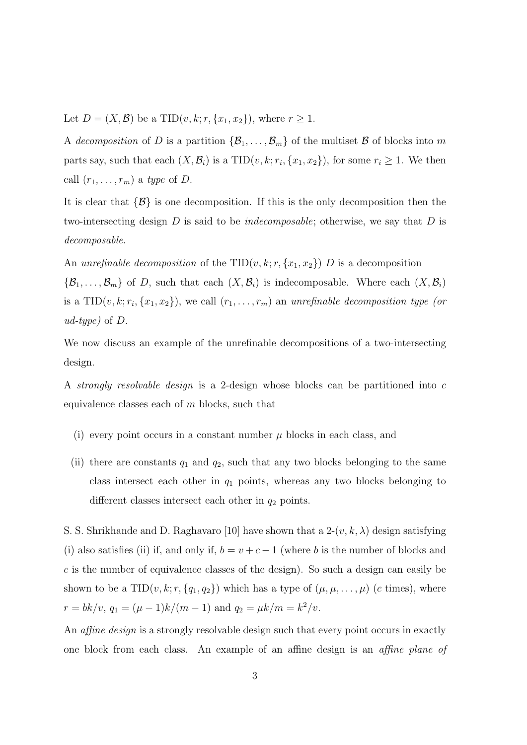Let  $D = (X, \mathcal{B})$  be a TID $(v, k; r, \{x_1, x_2\})$ , where  $r \ge 1$ .

A decomposition of D is a partition  $\{\mathcal{B}_1,\ldots,\mathcal{B}_m\}$  of the multiset B of blocks into m parts say, such that each  $(X, \mathcal{B}_i)$  is a  $TID(v, k; r_i, \{x_1, x_2\})$ , for some  $r_i \geq 1$ . We then call  $(r_1, \ldots, r_m)$  a type of D.

It is clear that  $\{\mathcal{B}\}\$ is one decomposition. If this is the only decomposition then the two-intersecting design  $D$  is said to be *indecomposable*; otherwise, we say that  $D$  is decomposable.

An unrefinable decomposition of the TID $(v, k; r, \{x_1, x_2\})$  D is a decomposition  $\{\mathcal{B}_1,\ldots,\mathcal{B}_m\}$  of D, such that each  $(X,\mathcal{B}_i)$  is indecomposable. Where each  $(X,\mathcal{B}_i)$ is a TID $(v, k; r_i, \{x_1, x_2\})$ , we call  $(r_1, \ldots, r_m)$  an unrefinable decomposition type (or ud-type) of  $D$ .

We now discuss an example of the unrefinable decompositions of a two-intersecting design.

A strongly resolvable design is a 2-design whose blocks can be partitioned into c equivalence classes each of  $m$  blocks, such that

- (i) every point occurs in a constant number  $\mu$  blocks in each class, and
- (ii) there are constants  $q_1$  and  $q_2$ , such that any two blocks belonging to the same class intersect each other in  $q_1$  points, whereas any two blocks belonging to different classes intersect each other in  $q_2$  points.

S. S. Shrikhande and D. Raghavaro [10] have shown that a  $2-(v, k, \lambda)$  design satisfying (i) also satisfies (ii) if, and only if,  $b = v + c - 1$  (where b is the number of blocks and  $c$  is the number of equivalence classes of the design). So such a design can easily be shown to be a TID $(v, k; r, \{q_1, q_2\})$  which has a type of  $(\mu, \mu, \ldots, \mu)$  (c times), where  $r = bk/v, q_1 = (\mu - 1)k/(m - 1)$  and  $q_2 = \mu k/m = k^2/v$ .

An *affine design* is a strongly resolvable design such that every point occurs in exactly one block from each class. An example of an affine design is an affine plane of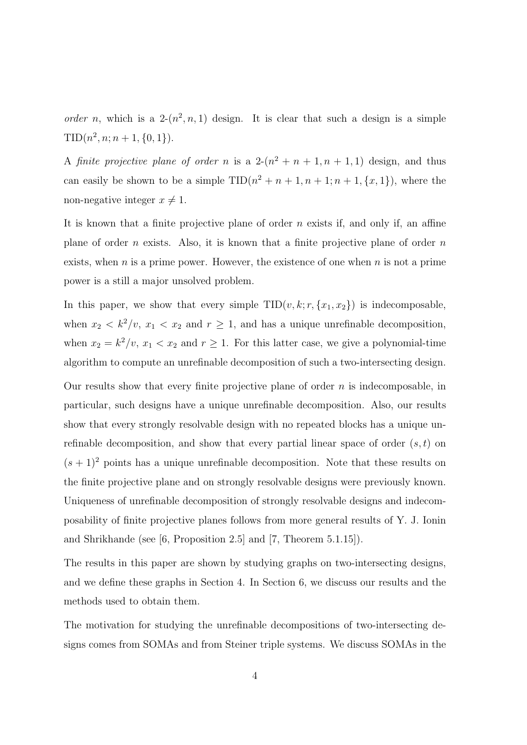order n, which is a  $2-(n^2, n, 1)$  design. It is clear that such a design is a simple  $TID(n^2, n; n+1, \{0, 1\}).$ 

A finite projective plane of order n is a  $2-(n^2 + n + 1, n + 1, 1)$  design, and thus can easily be shown to be a simple  $TID(n^2 + n + 1, n + 1; n + 1, \{x, 1\})$ , where the non-negative integer  $x \neq 1$ .

It is known that a finite projective plane of order  $n$  exists if, and only if, an affine plane of order n exists. Also, it is known that a finite projective plane of order  $n$ exists, when  $n$  is a prime power. However, the existence of one when  $n$  is not a prime power is a still a major unsolved problem.

In this paper, we show that every simple  $TID(v, k; r, \{x_1, x_2\})$  is indecomposable, when  $x_2 < k^2/v$ ,  $x_1 < x_2$  and  $r \ge 1$ , and has a unique unrefinable decomposition, when  $x_2 = k^2/v$ ,  $x_1 < x_2$  and  $r \ge 1$ . For this latter case, we give a polynomial-time algorithm to compute an unrefinable decomposition of such a two-intersecting design.

Our results show that every finite projective plane of order  $n$  is indecomposable, in particular, such designs have a unique unrefinable decomposition. Also, our results show that every strongly resolvable design with no repeated blocks has a unique unrefinable decomposition, and show that every partial linear space of order  $(s, t)$  on  $(s + 1)^2$  points has a unique unrefinable decomposition. Note that these results on the finite projective plane and on strongly resolvable designs were previously known. Uniqueness of unrefinable decomposition of strongly resolvable designs and indecomposability of finite projective planes follows from more general results of Y. J. Ionin and Shrikhande (see [6, Proposition 2.5] and [7, Theorem 5.1.15]).

The results in this paper are shown by studying graphs on two-intersecting designs, and we define these graphs in Section 4. In Section 6, we discuss our results and the methods used to obtain them.

The motivation for studying the unrefinable decompositions of two-intersecting designs comes from SOMAs and from Steiner triple systems. We discuss SOMAs in the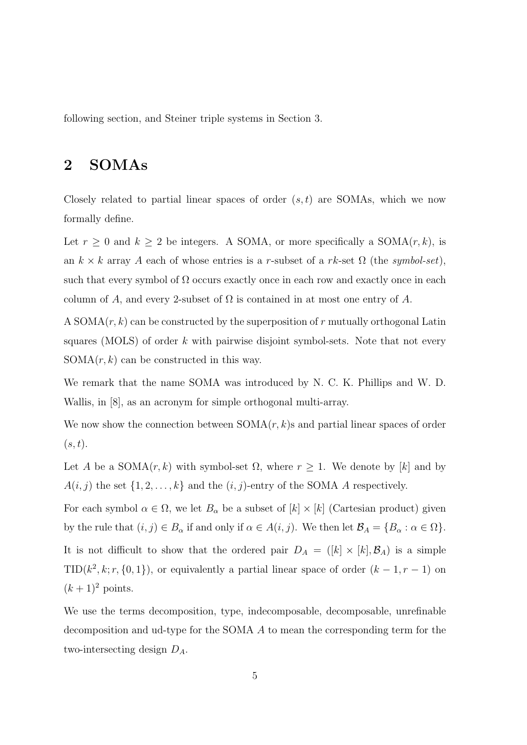following section, and Steiner triple systems in Section 3.

## 2 SOMAs

Closely related to partial linear spaces of order  $(s, t)$  are SOMAs, which we now formally define.

Let  $r \geq 0$  and  $k \geq 2$  be integers. A SOMA, or more specifically a SOMA $(r, k)$ , is an  $k \times k$  array A each of whose entries is a r-subset of a rk-set  $\Omega$  (the symbol-set), such that every symbol of  $\Omega$  occurs exactly once in each row and exactly once in each column of A, and every 2-subset of  $\Omega$  is contained in at most one entry of A.

A SOMA $(r, k)$  can be constructed by the superposition of r mutually orthogonal Latin squares (MOLS) of order  $k$  with pairwise disjoint symbol-sets. Note that not every  $SOMA(r, k)$  can be constructed in this way.

We remark that the name SOMA was introduced by N. C. K. Phillips and W. D. Wallis, in [8], as an acronym for simple orthogonal multi-array.

We now show the connection between  $SOMA(r, k)$ s and partial linear spaces of order  $(s, t).$ 

Let A be a  $SOMA(r, k)$  with symbol-set  $\Omega$ , where  $r \geq 1$ . We denote by [k] and by  $A(i, j)$  the set  $\{1, 2, \ldots, k\}$  and the  $(i, j)$ -entry of the SOMA A respectively.

For each symbol  $\alpha \in \Omega$ , we let  $B_{\alpha}$  be a subset of  $[k] \times [k]$  (Cartesian product) given by the rule that  $(i, j) \in B_\alpha$  if and only if  $\alpha \in A(i, j)$ . We then let  $\mathcal{B}_A = \{B_\alpha : \alpha \in \Omega\}$ . It is not difficult to show that the ordered pair  $D_A = ([k] \times [k], \mathcal{B}_A)$  is a simple TID( $k^2$ , k; r, {0, 1}), or equivalently a partial linear space of order  $(k-1, r-1)$  on  $(k+1)^2$  points.

We use the terms decomposition, type, indecomposable, decomposable, unrefinable decomposition and ud-type for the SOMA A to mean the corresponding term for the two-intersecting design  $D_A$ .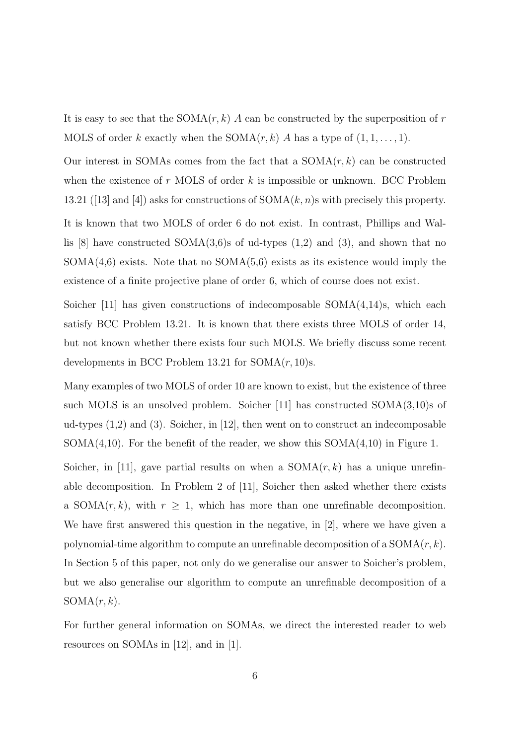It is easy to see that the SOMA $(r, k)$  A can be constructed by the superposition of r MOLS of order k exactly when the SOMA $(r, k)$  A has a type of  $(1, 1, \ldots, 1)$ .

Our interest in SOMAs comes from the fact that a  $SOMA(r, k)$  can be constructed when the existence of r MOLS of order  $k$  is impossible or unknown. BCC Problem 13.21 ([13] and [4]) asks for constructions of  $SOMA(k, n)$ s with precisely this property.

It is known that two MOLS of order 6 do not exist. In contrast, Phillips and Wallis  $[8]$  have constructed SOMA $(3,6)$ s of ud-types  $(1,2)$  and  $(3)$ , and shown that no  $SOMA(4,6)$  exists. Note that no  $SOMA(5,6)$  exists as its existence would imply the existence of a finite projective plane of order 6, which of course does not exist.

Soicher  $[11]$  has given constructions of indecomposable SOMA $(4.14)$ s, which each satisfy BCC Problem 13.21. It is known that there exists three MOLS of order 14, but not known whether there exists four such MOLS. We briefly discuss some recent developments in BCC Problem 13.21 for  $SOMA(r, 10)s$ .

Many examples of two MOLS of order 10 are known to exist, but the existence of three such MOLS is an unsolved problem. Soicher [11] has constructed SOMA(3,10)s of ud-types (1,2) and (3). Soicher, in [12], then went on to construct an indecomposable  $SOMA(4,10)$ . For the benefit of the reader, we show this  $SOMA(4,10)$  in Figure 1.

Soicher, in [11], gave partial results on when a  $SOMA(r, k)$  has a unique unrefinable decomposition. In Problem 2 of [11], Soicher then asked whether there exists a SOMA $(r, k)$ , with  $r \geq 1$ , which has more than one unrefinable decomposition. We have first answered this question in the negative, in [2], where we have given a polynomial-time algorithm to compute an unrefinable decomposition of a  $SOMA(r, k)$ . In Section 5 of this paper, not only do we generalise our answer to Soicher's problem, but we also generalise our algorithm to compute an unrefinable decomposition of a  $SOMA(r, k)$ .

For further general information on SOMAs, we direct the interested reader to web resources on SOMAs in [12], and in [1].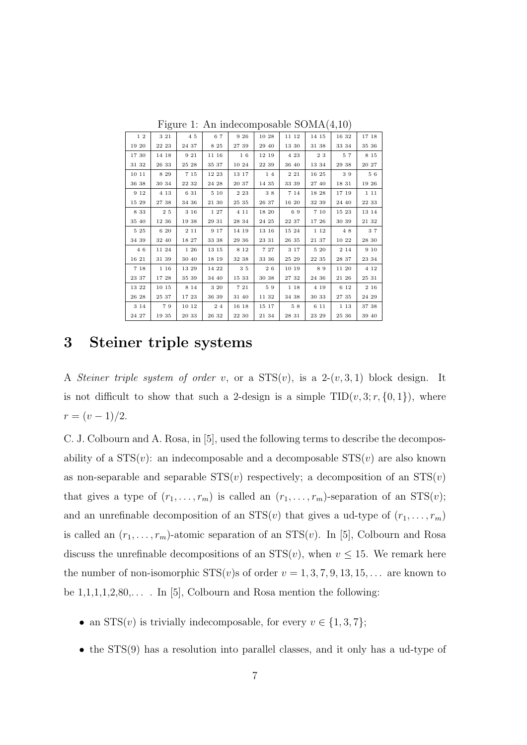| 12    | 3 2 1 | 45         | 67    | 9 2 6 | 10 28 | 11 12 | 14 15 | 16 32 | 17 18 |
|-------|-------|------------|-------|-------|-------|-------|-------|-------|-------|
| 19 20 | 22 23 | 24 37      | 8 25  | 27 39 | 29 40 | 13 30 | 31 38 | 33 34 | 35 36 |
| 17 30 | 14 18 | 9 21       | 11 16 | 16    | 12 19 | 4 23  | 23    | 57    | 8 1 5 |
| 31 32 | 26 33 | 25 28      | 35 37 | 10 24 | 22 39 | 36 40 | 13 34 | 29 38 | 20 27 |
| 10 11 | 8 2 9 | 7 15       | 12 23 | 13 17 | 14    | 2 2 1 | 16 25 | 39    | 56    |
| 36 38 | 30 34 | 22 32      | 24 28 | 20 37 | 14 35 | 33 39 | 27 40 | 18 31 | 19 26 |
| 9 1 2 | 4 1 3 | 6 31       | 5 10  | 2 2 3 | 38    | 7 1 4 | 18 28 | 17 19 | 1 1 1 |
| 15 29 | 27 38 | 34 36      | 21 30 | 25 35 | 26 37 | 16 20 | 32 39 | 24 40 | 22 33 |
| 8 3 3 | 25    | 3 16       | 1 27  | 4 1 1 | 18 20 | 69    | 7 10  | 15 23 | 13 14 |
| 35 40 | 12 36 | 19 38      | 29 31 | 28 34 | 24 25 | 22 37 | 17 26 | 30 39 | 21 32 |
| 5 25  | 6 20  | $2\,$ $11$ | 9 1 7 | 14 19 | 13 16 | 15 24 | 1 1 2 | 48    | 37    |
| 34 39 | 32 40 | 18 27      | 33 38 | 29 36 | 23 31 | 26 35 | 21 37 | 10 22 | 28 30 |
| 4 6   | 11 24 | 1 26       | 13 15 | 8 1 2 | 7 27  | 3 1 7 | 5 20  | 2 1 4 | 9 10  |
| 16 21 | 31 39 | 30 40      | 18 19 | 32 38 | 33 36 | 25 29 | 22 35 | 28 37 | 23 34 |
| 7 18  | 1 16  | 13 29      | 14 22 | 35    | 26    | 10 19 | 89    | 11 20 | 4 1 2 |
| 23 37 | 17 28 | 35 39      | 34 40 | 15 33 | 30 38 | 27 32 | 24 36 | 21 26 | 25 31 |
| 13 22 | 10 15 | 8 1 4      | 3 20  | 7 21  | 59    | 1 18  | 4 19  | 6 1 2 | 2 1 6 |
| 26 28 | 25 37 | 17 23      | 36 39 | 31 40 | 11 32 | 34 38 | 30 33 | 27 35 | 24 29 |
| 3 1 4 | 79    | 10 12      | 24    | 16 18 | 15 17 | 58    | 6 11  | 1 1 3 | 37 38 |
| 24 27 | 19 35 | 20 33      | 26 32 | 22 30 | 21 34 | 28 31 | 23 29 | 25 36 | 39 40 |

Figure 1: An indecomposable SOMA(4,10)

#### 3 Steiner triple systems

A Steiner triple system of order v, or a  $STS(v)$ , is a  $2-(v,3,1)$  block design. It is not difficult to show that such a 2-design is a simple  $TID(v, 3; r, \{0, 1\})$ , where  $r = (v - 1)/2.$ 

C. J. Colbourn and A. Rosa, in [5], used the following terms to describe the decomposability of a  $STS(v)$ : an indecomposable and a decomposable  $STS(v)$  are also known as non-separable and separable  $STS(v)$  respectively; a decomposition of an  $STS(v)$ that gives a type of  $(r_1, \ldots, r_m)$  is called an  $(r_1, \ldots, r_m)$ -separation of an  $STS(v);$ and an unrefinable decomposition of an  $STS(v)$  that gives a ud-type of  $(r_1, \ldots, r_m)$ is called an  $(r_1, \ldots, r_m)$ -atomic separation of an  $STS(v)$ . In [5], Colbourn and Rosa discuss the unrefinable decompositions of an  $STS(v)$ , when  $v \le 15$ . We remark here the number of non-isomorphic  $STS(v)$ s of order  $v = 1, 3, 7, 9, 13, 15, \ldots$  are known to be  $1,1,1,1,2,80,...$  In [5], Colbourn and Rosa mention the following:

- an  $STS(v)$  is trivially indecomposable, for every  $v \in \{1, 3, 7\}$ ;
- the STS(9) has a resolution into parallel classes, and it only has a ud-type of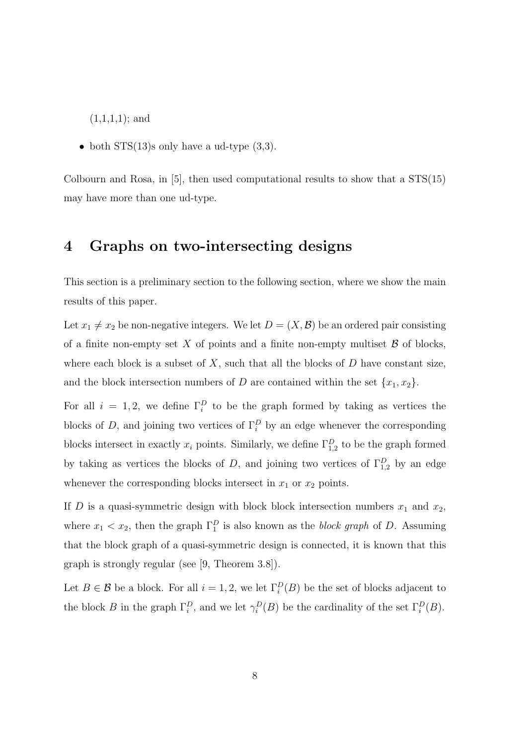$(1,1,1,1);$  and

• both  $STS(13)$ s only have a ud-type  $(3,3)$ .

Colbourn and Rosa, in [5], then used computational results to show that a STS(15) may have more than one ud-type.

#### 4 Graphs on two-intersecting designs

This section is a preliminary section to the following section, where we show the main results of this paper.

Let  $x_1 \neq x_2$  be non-negative integers. We let  $D = (X, \mathcal{B})$  be an ordered pair consisting of a finite non-empty set X of points and a finite non-empty multiset  $\beta$  of blocks, where each block is a subset of  $X$ , such that all the blocks of  $D$  have constant size, and the block intersection numbers of D are contained within the set  $\{x_1, x_2\}$ .

For all  $i = 1, 2$ , we define  $\Gamma_i^D$  to be the graph formed by taking as vertices the blocks of D, and joining two vertices of  $\Gamma_i^D$  by an edge whenever the corresponding blocks intersect in exactly  $x_i$  points. Similarly, we define  $\Gamma_{1,2}^D$  to be the graph formed by taking as vertices the blocks of D, and joining two vertices of  $\Gamma_{1,2}^D$  by an edge whenever the corresponding blocks intersect in  $x_1$  or  $x_2$  points.

If D is a quasi-symmetric design with block block intersection numbers  $x_1$  and  $x_2$ , where  $x_1 < x_2$ , then the graph  $\Gamma_1^D$  is also known as the *block graph* of D. Assuming that the block graph of a quasi-symmetric design is connected, it is known that this graph is strongly regular (see [9, Theorem 3.8]).

Let  $B \in \mathcal{B}$  be a block. For all  $i = 1, 2$ , we let  $\Gamma_i^D(B)$  be the set of blocks adjacent to the block B in the graph  $\Gamma_i^D$ , and we let  $\gamma_i^D(B)$  be the cardinality of the set  $\Gamma_i^D(B)$ .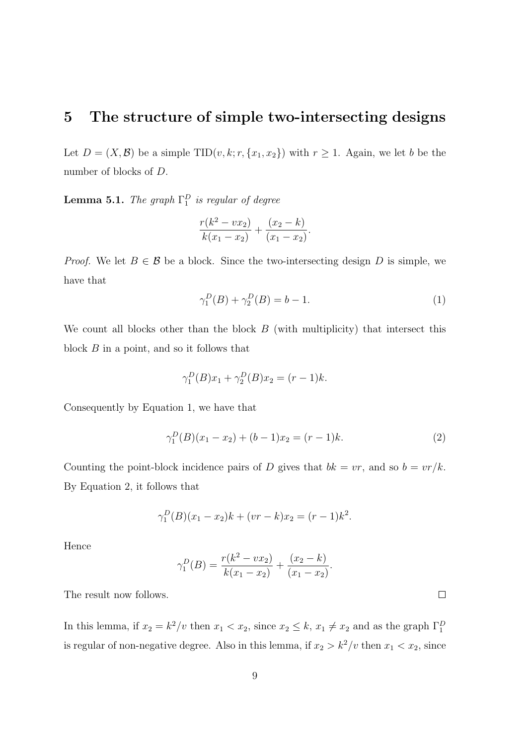### 5 The structure of simple two-intersecting designs

Let  $D = (X, \mathcal{B})$  be a simple TID $(v, k; r, \{x_1, x_2\})$  with  $r \geq 1$ . Again, we let b be the number of blocks of D.

**Lemma 5.1.** The graph  $\Gamma_1^D$  is regular of degree

$$
\frac{r(k^2 - vx_2)}{k(x_1 - x_2)} + \frac{(x_2 - k)}{(x_1 - x_2)}.
$$

*Proof.* We let  $B \in \mathcal{B}$  be a block. Since the two-intersecting design D is simple, we have that

$$
\gamma_1^D(B) + \gamma_2^D(B) = b - 1.
$$
 (1)

We count all blocks other than the block  $B$  (with multiplicity) that intersect this block B in a point, and so it follows that

$$
\gamma_1^D(B)x_1 + \gamma_2^D(B)x_2 = (r-1)k.
$$

Consequently by Equation 1, we have that

$$
\gamma_1^D(B)(x_1 - x_2) + (b - 1)x_2 = (r - 1)k. \tag{2}
$$

Counting the point-block incidence pairs of D gives that  $bk = vr$ , and so  $b = vr/k$ . By Equation 2, it follows that

$$
\gamma_1^D(B)(x_1 - x_2)k + (vr - k)x_2 = (r - 1)k^2.
$$

Hence

$$
\gamma_1^D(B) = \frac{r(k^2 - vx_2)}{k(x_1 - x_2)} + \frac{(x_2 - k)}{(x_1 - x_2)}.
$$

The result now follows.

In this lemma, if  $x_2 = k^2/v$  then  $x_1 < x_2$ , since  $x_2 \leq k$ ,  $x_1 \neq x_2$  and as the graph  $\Gamma_1^D$ is regular of non-negative degree. Also in this lemma, if  $x_2 > k^2/v$  then  $x_1 < x_2$ , since

 $\overline{\phantom{a}}$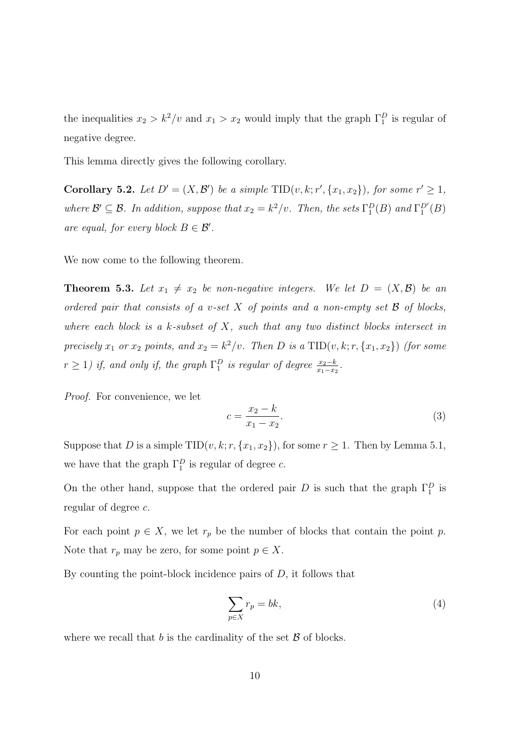the inequalities  $x_2 > k^2/v$  and  $x_1 > x_2$  would imply that the graph  $\Gamma_1^D$  is regular of negative degree.

This lemma directly gives the following corollary.

**Corollary 5.2.** Let  $D' = (X, \mathcal{B}')$  be a simple  $TID(v, k; r', \{x_1, x_2\})$ , for some  $r' \geq 1$ , where  $\mathcal{B}' \subseteq \mathcal{B}$ . In addition, suppose that  $x_2 = k^2/v$ . Then, the sets  $\Gamma_1^D(B)$  and  $\Gamma_1^{D'}(B)$ are equal, for every block  $B \in \mathcal{B}'$ .

We now come to the following theorem.

**Theorem 5.3.** Let  $x_1 \neq x_2$  be non-negative integers. We let  $D = (X, \mathcal{B})$  be an ordered pair that consists of a v-set  $X$  of points and a non-empty set  $B$  of blocks, where each block is a  $k$ -subset of  $X$ , such that any two distinct blocks intersect in precisely  $x_1$  or  $x_2$  points, and  $x_2 = k^2/v$ . Then D is a TID $(v, k; r, \{x_1, x_2\})$  (for some  $r \ge 1$ ) if, and only if, the graph  $\Gamma_1^D$  is regular of degree  $\frac{x_2-k}{x_1-x_2}$ .

Proof. For convenience, we let

$$
c = \frac{x_2 - k}{x_1 - x_2}.\tag{3}
$$

Suppose that D is a simple TID $(v, k; r, \{x_1, x_2\})$ , for some  $r \geq 1$ . Then by Lemma 5.1, we have that the graph  $\Gamma_1^D$  is regular of degree c.

On the other hand, suppose that the ordered pair D is such that the graph  $\Gamma_1^D$  is regular of degree c.

For each point  $p \in X$ , we let  $r_p$  be the number of blocks that contain the point p. Note that  $r_p$  may be zero, for some point  $p \in X$ .

By counting the point-block incidence pairs of  $D$ , it follows that

$$
\sum_{p \in X} r_p = bk,\tag{4}
$$

where we recall that b is the cardinality of the set  $\beta$  of blocks.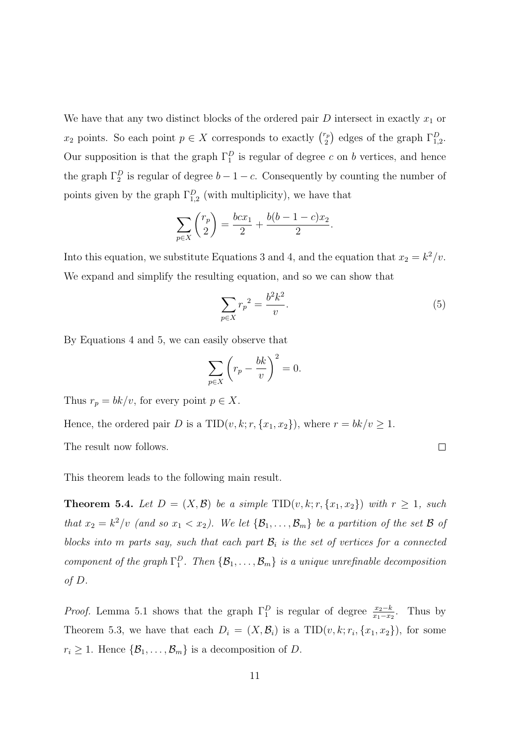We have that any two distinct blocks of the ordered pair  $D$  intersect in exactly  $x_1$  or  $x_2$  points. So each point  $p \in X$  corresponds to exactly  $\binom{r_p}{2}$  $\binom{r_p}{2}$  edges of the graph  $\Gamma_{1,2}^D$ . Our supposition is that the graph  $\Gamma_1^D$  is regular of degree c on b vertices, and hence the graph  $\Gamma_2^D$  is regular of degree  $b-1-c$ . Consequently by counting the number of points given by the graph  $\Gamma_{1,2}^D$  (with multiplicity), we have that

$$
\sum_{p \in X} \binom{r_p}{2} = \frac{bcx_1}{2} + \frac{b(b-1-c)x_2}{2}.
$$

Into this equation, we substitute Equations 3 and 4, and the equation that  $x_2 = k^2/v$ . We expand and simplify the resulting equation, and so we can show that

$$
\sum_{p \in X} r_p^2 = \frac{b^2 k^2}{v}.
$$
\n(5)

By Equations 4 and 5, we can easily observe that

$$
\sum_{p \in X} \left( r_p - \frac{bk}{v} \right)^2 = 0.
$$

Thus  $r_p = bk/v$ , for every point  $p \in X$ .

Hence, the ordered pair D is a TID $(v, k; r, \{x_1, x_2\})$ , where  $r = bk/v \ge 1$ .

The result now follows.

 $\Box$ 

This theorem leads to the following main result.

**Theorem 5.4.** Let  $D = (X, \mathcal{B})$  be a simple  $TID(v, k; r, \{x_1, x_2\})$  with  $r \geq 1$ , such that  $x_2 = k^2/v$  (and so  $x_1 < x_2$ ). We let  $\{\mathcal{B}_1, \ldots, \mathcal{B}_m\}$  be a partition of the set  $\mathcal B$  of blocks into m parts say, such that each part  $\mathcal{B}_i$  is the set of vertices for a connected component of the graph  $\Gamma_1^D$ . Then  $\{\mathcal{B}_1,\ldots,\mathcal{B}_m\}$  is a unique unrefinable decomposition of D.

*Proof.* Lemma 5.1 shows that the graph  $\Gamma_1^D$  is regular of degree  $\frac{x_2-k}{x_1-x_2}$ . Thus by Theorem 5.3, we have that each  $D_i = (X, \mathcal{B}_i)$  is a  $TID(v, k; r_i, \{x_1, x_2\})$ , for some  $r_i \geq 1$ . Hence  $\{\mathcal{B}_1, \ldots, \mathcal{B}_m\}$  is a decomposition of D.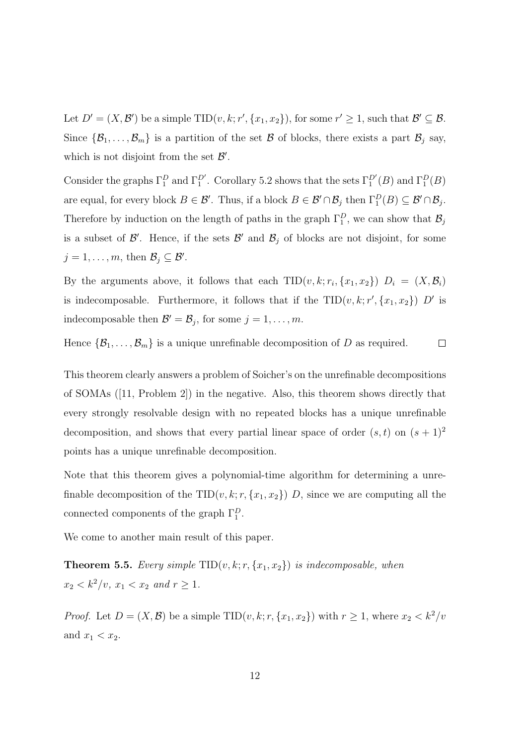Let  $D' = (X, \mathcal{B}')$  be a simple TID $(v, k; r', \{x_1, x_2\})$ , for some  $r' \geq 1$ , such that  $\mathcal{B}' \subseteq \mathcal{B}$ . Since  $\{\mathcal{B}_1,\ldots,\mathcal{B}_m\}$  is a partition of the set  $\mathcal B$  of blocks, there exists a part  $\mathcal B_j$  say, which is not disjoint from the set  $\mathcal{B}'$ .

Consider the graphs  $\Gamma_1^D$  and  $\Gamma_1^{D'}$ . Corollary 5.2 shows that the sets  $\Gamma_1^{D'}(B)$  and  $\Gamma_1^D(B)$ are equal, for every block  $B \in \mathcal{B}'$ . Thus, if a block  $B \in \mathcal{B}' \cap \mathcal{B}_j$  then  $\Gamma_1^D(B) \subseteq \mathcal{B}' \cap \mathcal{B}_j$ . Therefore by induction on the length of paths in the graph  $\Gamma_1^D$ , we can show that  $\mathcal{B}_j$ is a subset of  $\mathcal{B}'$ . Hence, if the sets  $\mathcal{B}'$  and  $\mathcal{B}_j$  of blocks are not disjoint, for some  $j = 1, \ldots, m$ , then  $\mathcal{B}_j \subseteq \mathcal{B}'$ .

By the arguments above, it follows that each  $TID(v, k; r_i, \{x_1, x_2\})$   $D_i = (X, \mathcal{B}_i)$ is indecomposable. Furthermore, it follows that if the  $TID(v, k; r', \{x_1, x_2\})$  D' is indecomposable then  $\mathcal{B}' = \mathcal{B}_j$ , for some  $j = 1, \ldots, m$ .

Hence  $\{\mathcal{B}_1, \ldots, \mathcal{B}_m\}$  is a unique unrefinable decomposition of D as required.  $\Box$ 

This theorem clearly answers a problem of Soicher's on the unrefinable decompositions of SOMAs ([11, Problem 2]) in the negative. Also, this theorem shows directly that every strongly resolvable design with no repeated blocks has a unique unrefinable decomposition, and shows that every partial linear space of order  $(s, t)$  on  $(s + 1)^2$ points has a unique unrefinable decomposition.

Note that this theorem gives a polynomial-time algorithm for determining a unrefinable decomposition of the TID $(v, k; r, \{x_1, x_2\})$  D, since we are computing all the connected components of the graph  $\Gamma_1^D$ .

We come to another main result of this paper.

**Theorem 5.5.** Every simple  $TID(v, k; r, \{x_1, x_2\})$  is indecomposable, when  $x_2 < k^2/v, x_1 < x_2 \text{ and } r \geq 1.$ 

*Proof.* Let  $D = (X, \mathcal{B})$  be a simple TID $(v, k; r, \{x_1, x_2\})$  with  $r \geq 1$ , where  $x_2 < k^2/v$ and  $x_1 < x_2$ .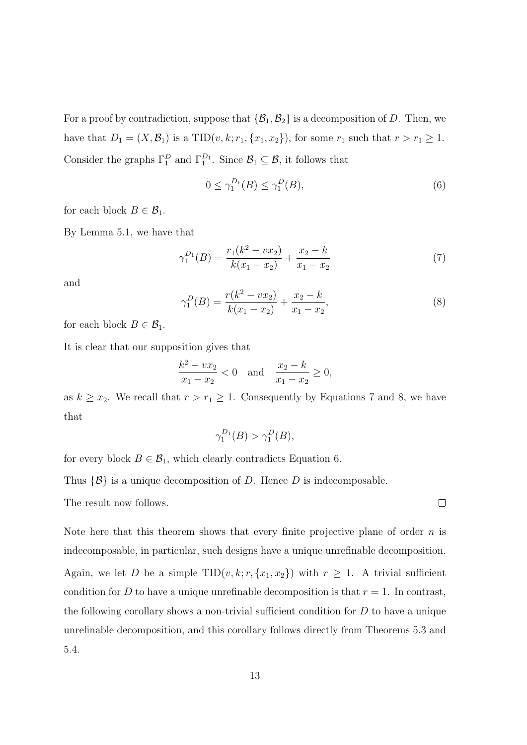For a proof by contradiction, suppose that  $\{\mathcal{B}_1, \mathcal{B}_2\}$  is a decomposition of D. Then, we have that  $D_1 = (X, \mathcal{B}_1)$  is a TID $(v, k; r_1, \{x_1, x_2\})$ , for some  $r_1$  such that  $r > r_1 \ge 1$ . Consider the graphs  $\Gamma_1^D$  and  $\Gamma_1^{D_1}$ . Since  $\mathcal{B}_1 \subseteq \mathcal{B}$ , it follows that

$$
0 \le \gamma_1^{D_1}(B) \le \gamma_1^D(B),\tag{6}
$$

for each block  $B \in \mathcal{B}_1$ .

By Lemma 5.1, we have that

$$
\gamma_1^{D_1}(B) = \frac{r_1(k^2 - \nu x_2)}{k(x_1 - x_2)} + \frac{x_2 - k}{x_1 - x_2} \tag{7}
$$

and

$$
\gamma_1^D(B) = \frac{r(k^2 - vx_2)}{k(x_1 - x_2)} + \frac{x_2 - k}{x_1 - x_2},\tag{8}
$$

for each block  $B \in \mathcal{B}_1$ .

It is clear that our supposition gives that

$$
\frac{k^2 - vx_2}{x_1 - x_2} < 0 \quad \text{and} \quad \frac{x_2 - k}{x_1 - x_2} \ge 0,
$$

as  $k \geq x_2$ . We recall that  $r > r_1 \geq 1$ . Consequently by Equations 7 and 8, we have that

$$
\gamma_1^{D_1}(B) > \gamma_1^D(B),
$$

for every block  $B \in \mathcal{B}_1$ , which clearly contradicts Equation 6.

Thus  $\{\mathcal{B}\}\$ is a unique decomposition of D. Hence D is indecomposable.

The result now follows.

Note here that this theorem shows that every finite projective plane of order  $n$  is indecomposable, in particular, such designs have a unique unrefinable decomposition. Again, we let D be a simple  $TID(v, k; r, \{x_1, x_2\})$  with  $r \geq 1$ . A trivial sufficient condition for D to have a unique unrefinable decomposition is that  $r = 1$ . In contrast, the following corollary shows a non-trivial sufficient condition for  $D$  to have a unique unrefinable decomposition, and this corollary follows directly from Theorems 5.3 and 5.4.

 $\Box$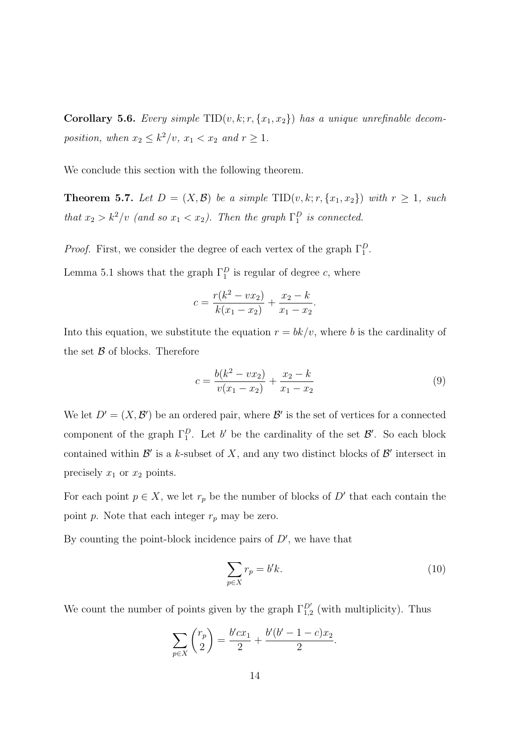Corollary 5.6. Every simple  $TID(v, k; r, \{x_1, x_2\})$  has a unique unrefinable decomposition, when  $x_2 \leq k^2/v$ ,  $x_1 < x_2$  and  $r \geq 1$ .

We conclude this section with the following theorem.

**Theorem 5.7.** Let  $D = (X, \mathcal{B})$  be a simple  $TID(v, k; r, \{x_1, x_2\})$  with  $r \geq 1$ , such that  $x_2 > k^2/v$  (and so  $x_1 < x_2$ ). Then the graph  $\Gamma_1^D$  is connected.

*Proof.* First, we consider the degree of each vertex of the graph  $\Gamma_1^D$ .

Lemma 5.1 shows that the graph  $\Gamma_1^D$  is regular of degree c, where

$$
c = \frac{r(k^2 - vx_2)}{k(x_1 - x_2)} + \frac{x_2 - k}{x_1 - x_2}.
$$

Into this equation, we substitute the equation  $r = bk/v$ , where b is the cardinality of the set  $\beta$  of blocks. Therefore

$$
c = \frac{b(k^2 - vx_2)}{v(x_1 - x_2)} + \frac{x_2 - k}{x_1 - x_2} \tag{9}
$$

We let  $D' = (X, \mathcal{B}')$  be an ordered pair, where  $\mathcal{B}'$  is the set of vertices for a connected component of the graph  $\Gamma_1^D$ . Let b' be the cardinality of the set  $\mathcal{B}'$ . So each block contained within  $\mathcal{B}'$  is a k-subset of X, and any two distinct blocks of  $\mathcal{B}'$  intersect in precisely  $x_1$  or  $x_2$  points.

For each point  $p \in X$ , we let  $r_p$  be the number of blocks of D' that each contain the point p. Note that each integer  $r_p$  may be zero.

By counting the point-block incidence pairs of  $D'$ , we have that

$$
\sum_{p \in X} r_p = b' k. \tag{10}
$$

We count the number of points given by the graph  $\Gamma_{1,2}^{D'}$  (with multiplicity). Thus

$$
\sum_{p \in X} \binom{r_p}{2} = \frac{b'cx_1}{2} + \frac{b'(b'-1-c)x_2}{2}.
$$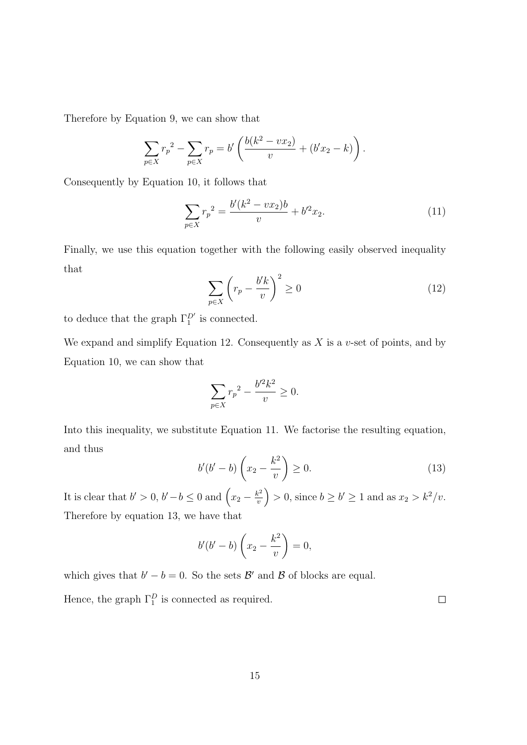Therefore by Equation 9, we can show that

$$
\sum_{p \in X} r_p^2 - \sum_{p \in X} r_p = b' \left( \frac{b(k^2 - vx_2)}{v} + (b'x_2 - k) \right).
$$

Consequently by Equation 10, it follows that

$$
\sum_{p \in X} r_p^2 = \frac{b'(k^2 - vx_2)b}{v} + b'^2 x_2.
$$
 (11)

Finally, we use this equation together with the following easily observed inequality that

$$
\sum_{p \in X} \left( r_p - \frac{b'k}{v} \right)^2 \ge 0 \tag{12}
$$

to deduce that the graph  $\Gamma_1^{D'}$  is connected.

We expand and simplify Equation 12. Consequently as  $X$  is a v-set of points, and by Equation 10, we can show that

$$
\sum_{p \in X} r_p^2 - \frac{b'^2 k^2}{v} \ge 0.
$$

Into this inequality, we substitute Equation 11. We factorise the resulting equation, and thus

$$
b'(b'-b)\left(x_2-\frac{k^2}{v}\right)\geq 0.\tag{13}
$$

It is clear that  $b' > 0$ ,  $b' - b \leq 0$  and  $\left(x_2 - \frac{k^2}{n}\right)$  $\left(\frac{k^2}{v}\right) > 0$ , since  $b \ge b' \ge 1$  and as  $x_2 > k^2/v$ . Therefore by equation 13, we have that

$$
b'(b'-b)\left(x_2-\frac{k^2}{v}\right)=0,
$$

which gives that  $b'-b=0$ . So the sets  $\mathcal{B}'$  and  $\mathcal{B}$  of blocks are equal.

Hence, the graph  $\Gamma_1^D$  is connected as required.

 $\Box$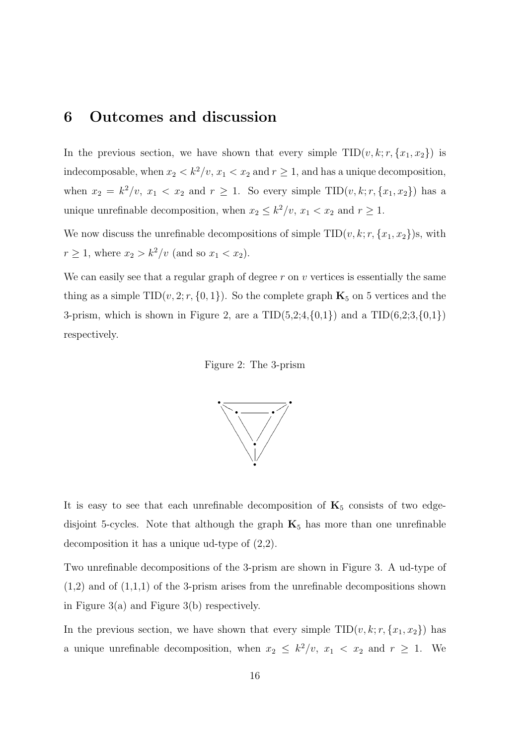### 6 Outcomes and discussion

In the previous section, we have shown that every simple  $TID(v, k; r, \{x_1, x_2\})$  is indecomposable, when  $x_2 < k^2/v$ ,  $x_1 < x_2$  and  $r \ge 1$ , and has a unique decomposition, when  $x_2 = k^2/v$ ,  $x_1 < x_2$  and  $r \ge 1$ . So every simple TID $(v, k; r, \{x_1, x_2\})$  has a unique unrefinable decomposition, when  $x_2 \leq k^2/v$ ,  $x_1 < x_2$  and  $r \geq 1$ .

We now discuss the unrefinable decompositions of simple  $TID(v, k; r, \{x_1, x_2\})$ s, with  $r \ge 1$ , where  $x_2 > k^2/v$  (and so  $x_1 < x_2$ ).

We can easily see that a regular graph of degree  $r$  on  $v$  vertices is essentially the same thing as a simple TID( $v$ , 2;  $r$ , {0, 1}). So the complete graph  $\mathbf{K}_5$  on 5 vertices and the 3-prism, which is shown in Figure 2, are a  $TID(5,2; 4, {0,1})$  and a  $TID(6,2; 3, {0,1})$ respectively.





It is easy to see that each unrefinable decomposition of  $K_5$  consists of two edgedisjoint 5-cycles. Note that although the graph  $K_5$  has more than one unrefinable decomposition it has a unique ud-type of (2,2).

Two unrefinable decompositions of the 3-prism are shown in Figure 3. A ud-type of  $(1,2)$  and of  $(1,1,1)$  of the 3-prism arises from the unrefinable decompositions shown in Figure 3(a) and Figure 3(b) respectively.

In the previous section, we have shown that every simple  $TID(v, k; r, \{x_1, x_2\})$  has a unique unrefinable decomposition, when  $x_2 \leq k^2/v$ ,  $x_1 < x_2$  and  $r \geq 1$ . We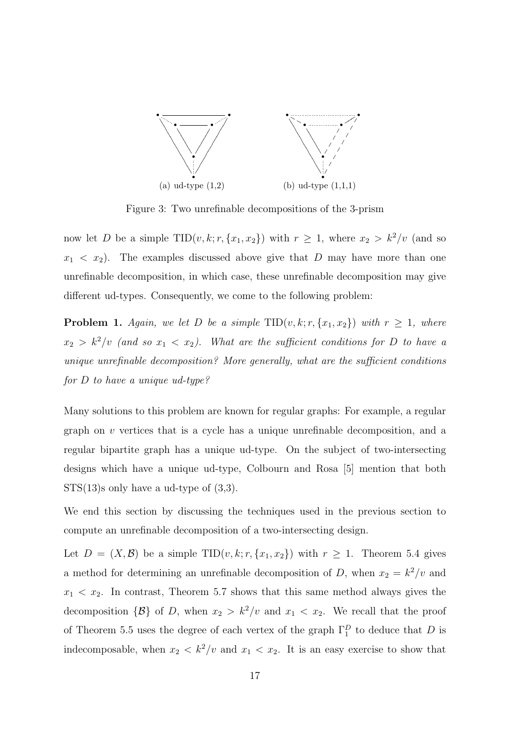

Figure 3: Two unrefinable decompositions of the 3-prism

now let D be a simple TID(v, k; r, {x<sub>1</sub>, x<sub>2</sub>}) with  $r \ge 1$ , where  $x_2 > k^2/v$  (and so  $x_1 < x_2$ ). The examples discussed above give that D may have more than one unrefinable decomposition, in which case, these unrefinable decomposition may give different ud-types. Consequently, we come to the following problem:

**Problem 1.** Again, we let D be a simple  $TID(v, k; r, \{x_1, x_2\})$  with  $r \geq 1$ , where  $x_2 > k^2/v$  (and so  $x_1 < x_2$ ). What are the sufficient conditions for D to have a unique unrefinable decomposition? More generally, what are the sufficient conditions for D to have a unique ud-type?

Many solutions to this problem are known for regular graphs: For example, a regular graph on  $v$  vertices that is a cycle has a unique unrefinable decomposition, and a regular bipartite graph has a unique ud-type. On the subject of two-intersecting designs which have a unique ud-type, Colbourn and Rosa [5] mention that both  $STS(13)$ s only have a ud-type of  $(3,3)$ .

We end this section by discussing the techniques used in the previous section to compute an unrefinable decomposition of a two-intersecting design.

Let  $D = (X, \mathcal{B})$  be a simple TID $(v, k; r, \{x_1, x_2\})$  with  $r \geq 1$ . Theorem 5.4 gives a method for determining an unrefinable decomposition of D, when  $x_2 = k^2/v$  and  $x_1 < x_2$ . In contrast, Theorem 5.7 shows that this same method always gives the decomposition  $\{\mathcal{B}\}\$  of D, when  $x_2 > k^2/v$  and  $x_1 < x_2$ . We recall that the proof of Theorem 5.5 uses the degree of each vertex of the graph  $\Gamma_1^D$  to deduce that D is indecomposable, when  $x_2 < k^2/v$  and  $x_1 < x_2$ . It is an easy exercise to show that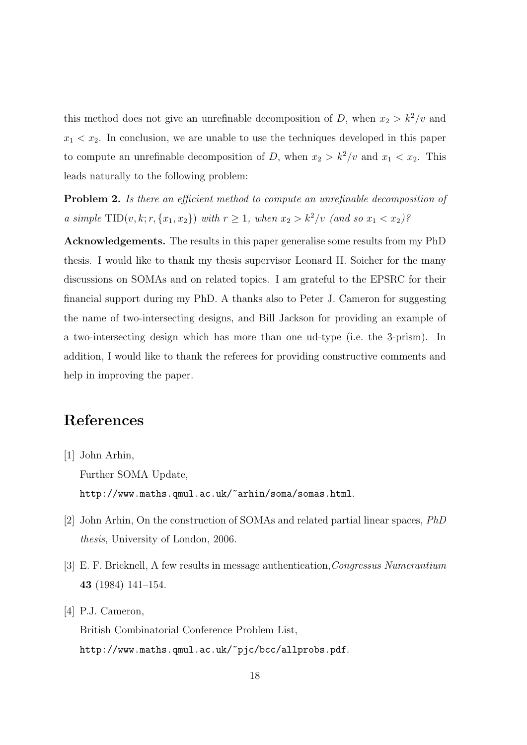this method does not give an unrefinable decomposition of D, when  $x_2 > k^2/v$  and  $x_1 < x_2$ . In conclusion, we are unable to use the techniques developed in this paper to compute an unrefinable decomposition of D, when  $x_2 > k^2/v$  and  $x_1 < x_2$ . This leads naturally to the following problem:

Problem 2. Is there an efficient method to compute an unrefinable decomposition of a simple  $\text{TID}(v, k; r, \{x_1, x_2\})$  with  $r \geq 1$ , when  $x_2 > k^2/v$  (and so  $x_1 < x_2$ )?

Acknowledgements. The results in this paper generalise some results from my PhD thesis. I would like to thank my thesis supervisor Leonard H. Soicher for the many discussions on SOMAs and on related topics. I am grateful to the EPSRC for their financial support during my PhD. A thanks also to Peter J. Cameron for suggesting the name of two-intersecting designs, and Bill Jackson for providing an example of a two-intersecting design which has more than one ud-type (i.e. the 3-prism). In addition, I would like to thank the referees for providing constructive comments and help in improving the paper.

### References

- [1] John Arhin, Further SOMA Update, http://www.maths.qmul.ac.uk/~arhin/soma/somas.html.
- [2] John Arhin, On the construction of SOMAs and related partial linear spaces, PhD thesis, University of London, 2006.
- [3] E. F. Bricknell, A few results in message authentication,Congressus Numerantium 43 (1984) 141–154.
- [4] P.J. Cameron, British Combinatorial Conference Problem List, http://www.maths.qmul.ac.uk/~pjc/bcc/allprobs.pdf.